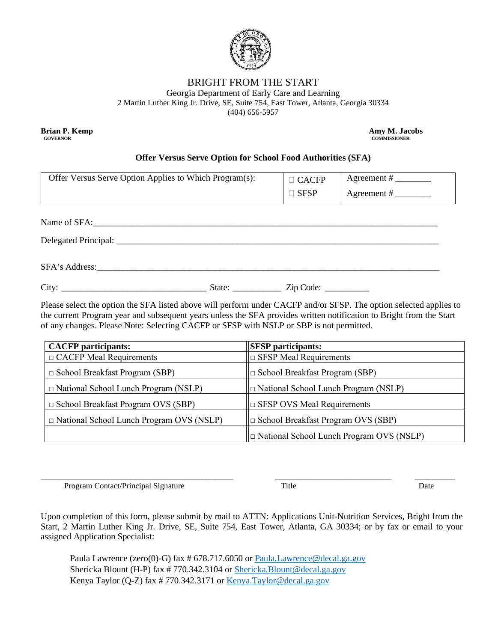

## BRIGHT FROM THE START

Georgia Department of Early Care and Learning

2 Martin Luther King Jr. Drive, SE, Suite 754, East Tower, Atlanta, Georgia 30334

(404) 656-5957

**GOVERNOR COMMISSIONER** 

**Brian P. Kemp Amy M. Jacobs Amy M. Jacobs Amy M. Jacobs** 

## **Offer Versus Serve Option for School Food Authorities (SFA)**

| Offer Versus Serve Option Applies to Which Program(s):                                                        | $\Box$ CACFP     |  |
|---------------------------------------------------------------------------------------------------------------|------------------|--|
|                                                                                                               | $\Box$ SFSP      |  |
|                                                                                                               |                  |  |
|                                                                                                               |                  |  |
|                                                                                                               |                  |  |
| SFA's Address: 2008 and 2008 and 2008 and 2008 and 2008 and 2008 and 2008 and 2008 and 2008 and 2008 and 2008 |                  |  |
| State: $\frac{\phantom{1}}{\phantom{1}}$                                                                      | $Zip Code: \_\_$ |  |

Please select the option the SFA listed above will perform under CACFP and/or SFSP. The option selected applies to the current Program year and subsequent years unless the SFA provides written notification to Bright from the Start of any changes. Please Note: Selecting CACFP or SFSP with NSLP or SBP is not permitted.

| <b>CACFP</b> participants:                      | <b>SFSP</b> participants:                       |  |
|-------------------------------------------------|-------------------------------------------------|--|
| $\Box$ CACFP Meal Requirements                  | $\Box$ SFSP Meal Requirements                   |  |
| $\Box$ School Breakfast Program (SBP)           | School Breakfast Program (SBP)                  |  |
| $\Box$ National School Lunch Program (NSLP)     | $\Box$ National School Lunch Program (NSLP)     |  |
| $\Box$ School Breakfast Program OVS (SBP)       | $\Box$ SFSP OVS Meal Requirements               |  |
| $\Box$ National School Lunch Program OVS (NSLP) | $\Box$ School Breakfast Program OVS (SBP)       |  |
|                                                 | $\Box$ National School Lunch Program OVS (NSLP) |  |

\_\_\_\_\_\_\_\_\_\_\_\_\_\_\_\_\_\_\_\_\_\_\_\_\_\_\_\_\_\_\_\_\_\_\_\_\_\_\_\_\_\_\_ \_\_\_\_\_\_\_\_\_\_\_\_\_\_\_\_\_\_\_\_\_\_\_\_\_\_ \_\_\_\_\_\_\_\_\_ Program Contact/Principal Signature Title Title Date

Upon completion of this form, please submit by mail to ATTN: Applications Unit-Nutrition Services, Bright from the Start, 2 Martin Luther King Jr. Drive, SE, Suite 754, East Tower, Atlanta, GA 30334; or by fax or email to your assigned Application Specialist:

Paula Lawrence (zero(0)-G) fax # 678.717.6050 or Paula.Lawrence@decal.ga.gov Shericka Blount (H-P) fax # 770.342.3104 or [Shericka.Blount@decal.ga.gov](mailto:Shericka.Blount@decal.ga.gov) Kenya Taylor (Q-Z) fax # 770.342.3171 or [Kenya.Taylor@decal.ga.gov](mailto:Kenya.Taylor@decal.ga.gov)